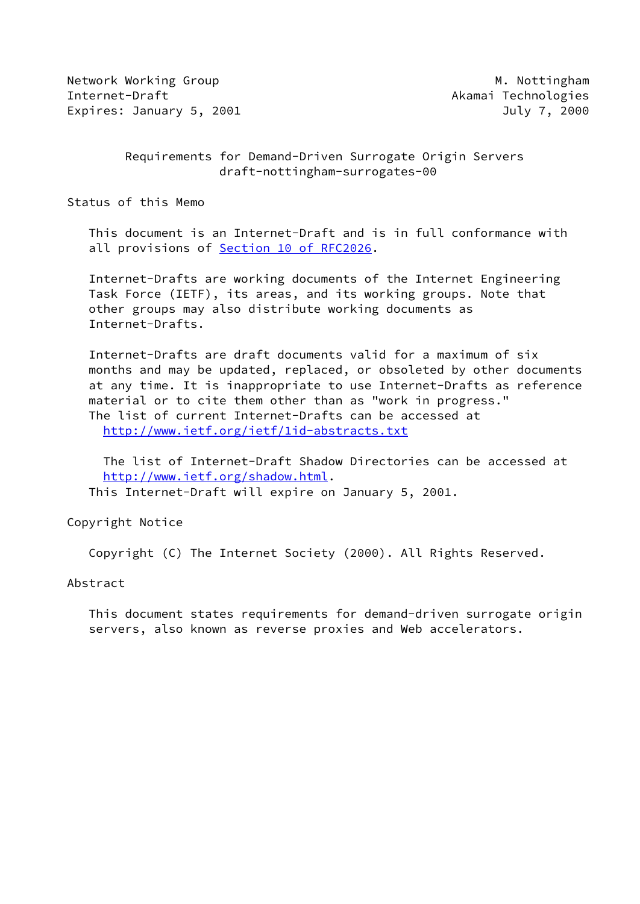Network Working Group Method Muslim Muslim Muslim Muslim Muslim Muslim Muslim Muslim Muslim Muslim Muslim Musl Internet-Draft Akamai Technologies Expires: January 5, 2001 **July 7, 2000** 

# Requirements for Demand-Driven Surrogate Origin Servers draft-nottingham-surrogates-00

Status of this Memo

 This document is an Internet-Draft and is in full conformance with all provisions of Section [10 of RFC2026.](https://datatracker.ietf.org/doc/pdf/rfc2026#section-10)

 Internet-Drafts are working documents of the Internet Engineering Task Force (IETF), its areas, and its working groups. Note that other groups may also distribute working documents as Internet-Drafts.

 Internet-Drafts are draft documents valid for a maximum of six months and may be updated, replaced, or obsoleted by other documents at any time. It is inappropriate to use Internet-Drafts as reference material or to cite them other than as "work in progress." The list of current Internet-Drafts can be accessed at <http://www.ietf.org/ietf/1id-abstracts.txt>

 The list of Internet-Draft Shadow Directories can be accessed at <http://www.ietf.org/shadow.html>. This Internet-Draft will expire on January 5, 2001.

Copyright Notice

Copyright (C) The Internet Society (2000). All Rights Reserved.

## Abstract

 This document states requirements for demand-driven surrogate origin servers, also known as reverse proxies and Web accelerators.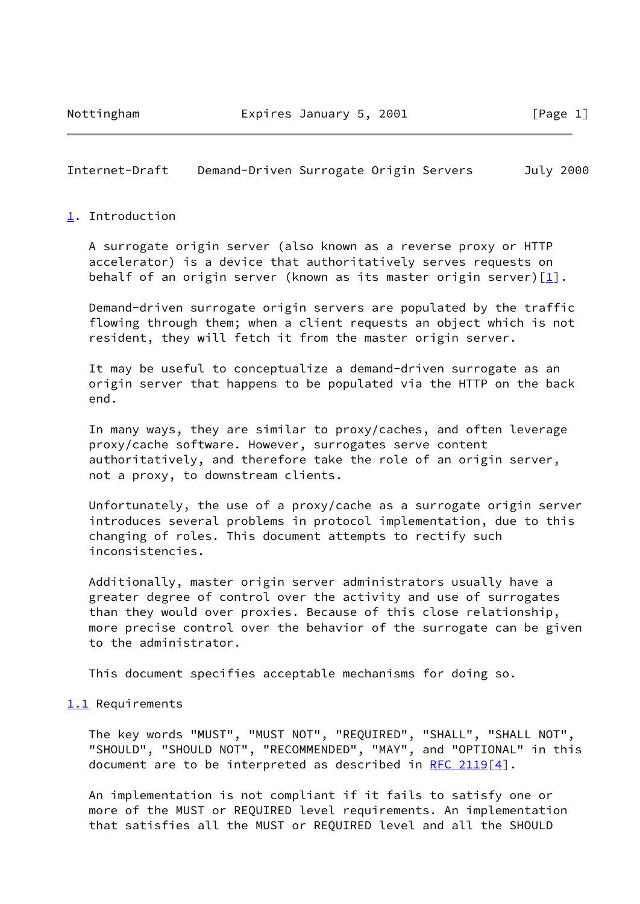## Internet-Draft Demand-Driven Surrogate Origin Servers July 2000

## <span id="page-1-0"></span>[1](#page-1-0). Introduction

 A surrogate origin server (also known as a reverse proxy or HTTP accelerator) is a device that authoritatively serves requests on behalf of an origin server (known as its master origin server) $[1]$  $[1]$ .

 Demand-driven surrogate origin servers are populated by the traffic flowing through them; when a client requests an object which is not resident, they will fetch it from the master origin server.

 It may be useful to conceptualize a demand-driven surrogate as an origin server that happens to be populated via the HTTP on the back end.

 In many ways, they are similar to proxy/caches, and often leverage proxy/cache software. However, surrogates serve content authoritatively, and therefore take the role of an origin server, not a proxy, to downstream clients.

 Unfortunately, the use of a proxy/cache as a surrogate origin server introduces several problems in protocol implementation, due to this changing of roles. This document attempts to rectify such inconsistencies.

 Additionally, master origin server administrators usually have a greater degree of control over the activity and use of surrogates than they would over proxies. Because of this close relationship, more precise control over the behavior of the surrogate can be given to the administrator.

This document specifies acceptable mechanisms for doing so.

## <span id="page-1-1"></span>[1.1](#page-1-1) Requirements

 The key words "MUST", "MUST NOT", "REQUIRED", "SHALL", "SHALL NOT", "SHOULD", "SHOULD NOT", "RECOMMENDED", "MAY", and "OPTIONAL" in this document are to be interpreted as described in [RFC 2119](https://datatracker.ietf.org/doc/pdf/rfc2119) $[4]$  $[4]$ .

 An implementation is not compliant if it fails to satisfy one or more of the MUST or REQUIRED level requirements. An implementation that satisfies all the MUST or REQUIRED level and all the SHOULD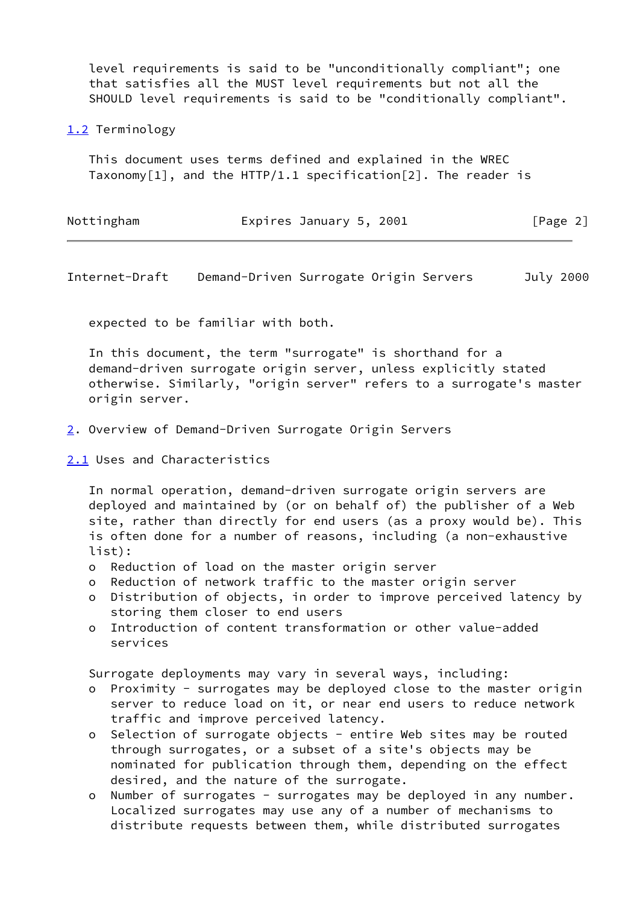level requirements is said to be "unconditionally compliant"; one that satisfies all the MUST level requirements but not all the SHOULD level requirements is said to be "conditionally compliant".

# <span id="page-2-0"></span>[1.2](#page-2-0) Terminology

 This document uses terms defined and explained in the WREC Taxonomy $[1]$ , and the HTTP/1.1 specification $[2]$ . The reader is

| Nottingham | Expires January 5, 2001 | [Page 2] |
|------------|-------------------------|----------|
|------------|-------------------------|----------|

Internet-Draft Demand-Driven Surrogate Origin Servers July 2000

expected to be familiar with both.

 In this document, the term "surrogate" is shorthand for a demand-driven surrogate origin server, unless explicitly stated otherwise. Similarly, "origin server" refers to a surrogate's master origin server.

- <span id="page-2-1"></span>[2](#page-2-1). Overview of Demand-Driven Surrogate Origin Servers
- <span id="page-2-2"></span>[2.1](#page-2-2) Uses and Characteristics

 In normal operation, demand-driven surrogate origin servers are deployed and maintained by (or on behalf of) the publisher of a Web site, rather than directly for end users (as a proxy would be). This is often done for a number of reasons, including (a non-exhaustive list):

- o Reduction of load on the master origin server
- o Reduction of network traffic to the master origin server
- o Distribution of objects, in order to improve perceived latency by storing them closer to end users
- o Introduction of content transformation or other value-added services

Surrogate deployments may vary in several ways, including:

- o Proximity surrogates may be deployed close to the master origin server to reduce load on it, or near end users to reduce network traffic and improve perceived latency.
- o Selection of surrogate objects entire Web sites may be routed through surrogates, or a subset of a site's objects may be nominated for publication through them, depending on the effect desired, and the nature of the surrogate.
- o Number of surrogates surrogates may be deployed in any number. Localized surrogates may use any of a number of mechanisms to distribute requests between them, while distributed surrogates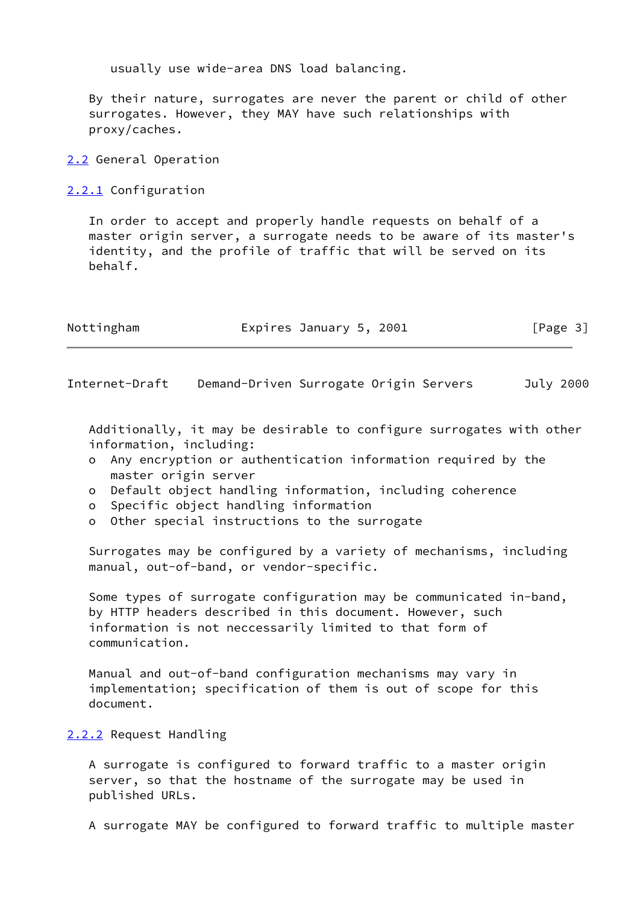usually use wide-area DNS load balancing.

 By their nature, surrogates are never the parent or child of other surrogates. However, they MAY have such relationships with proxy/caches.

<span id="page-3-0"></span>[2.2](#page-3-0) General Operation

<span id="page-3-1"></span>[2.2.1](#page-3-1) Configuration

 In order to accept and properly handle requests on behalf of a master origin server, a surrogate needs to be aware of its master's identity, and the profile of traffic that will be served on its behalf.

| Nottingham | Expires January 5, 2001 | [Page 3] |
|------------|-------------------------|----------|
|            |                         |          |

Internet-Draft Demand-Driven Surrogate Origin Servers July 2000

 Additionally, it may be desirable to configure surrogates with other information, including:

- o Any encryption or authentication information required by the master origin server
- o Default object handling information, including coherence
- o Specific object handling information
- o Other special instructions to the surrogate

 Surrogates may be configured by a variety of mechanisms, including manual, out-of-band, or vendor-specific.

 Some types of surrogate configuration may be communicated in-band, by HTTP headers described in this document. However, such information is not neccessarily limited to that form of communication.

 Manual and out-of-band configuration mechanisms may vary in implementation; specification of them is out of scope for this document.

## <span id="page-3-2"></span>[2.2.2](#page-3-2) Request Handling

 A surrogate is configured to forward traffic to a master origin server, so that the hostname of the surrogate may be used in published URLs.

A surrogate MAY be configured to forward traffic to multiple master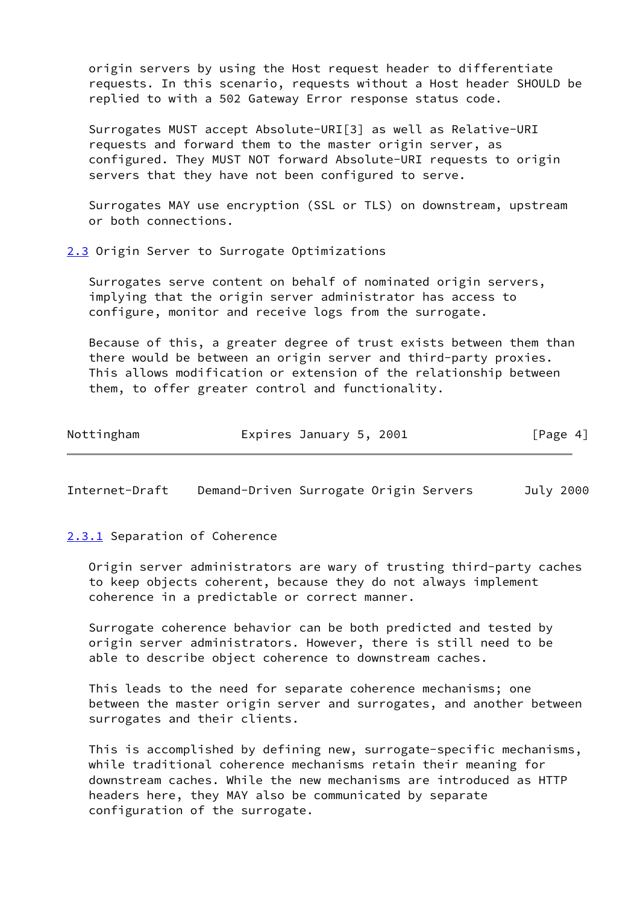origin servers by using the Host request header to differentiate requests. In this scenario, requests without a Host header SHOULD be replied to with a 502 Gateway Error response status code.

 Surrogates MUST accept Absolute-URI[3] as well as Relative-URI requests and forward them to the master origin server, as configured. They MUST NOT forward Absolute-URI requests to origin servers that they have not been configured to serve.

 Surrogates MAY use encryption (SSL or TLS) on downstream, upstream or both connections.

<span id="page-4-0"></span>[2.3](#page-4-0) Origin Server to Surrogate Optimizations

 Surrogates serve content on behalf of nominated origin servers, implying that the origin server administrator has access to configure, monitor and receive logs from the surrogate.

 Because of this, a greater degree of trust exists between them than there would be between an origin server and third-party proxies. This allows modification or extension of the relationship between them, to offer greater control and functionality.

| Nottingham | Expires January 5, 2001 | [Page 4] |
|------------|-------------------------|----------|
|------------|-------------------------|----------|

Internet-Draft Demand-Driven Surrogate Origin Servers July 2000

#### <span id="page-4-1"></span>[2.3.1](#page-4-1) Separation of Coherence

 Origin server administrators are wary of trusting third-party caches to keep objects coherent, because they do not always implement coherence in a predictable or correct manner.

 Surrogate coherence behavior can be both predicted and tested by origin server administrators. However, there is still need to be able to describe object coherence to downstream caches.

 This leads to the need for separate coherence mechanisms; one between the master origin server and surrogates, and another between surrogates and their clients.

 This is accomplished by defining new, surrogate-specific mechanisms, while traditional coherence mechanisms retain their meaning for downstream caches. While the new mechanisms are introduced as HTTP headers here, they MAY also be communicated by separate configuration of the surrogate.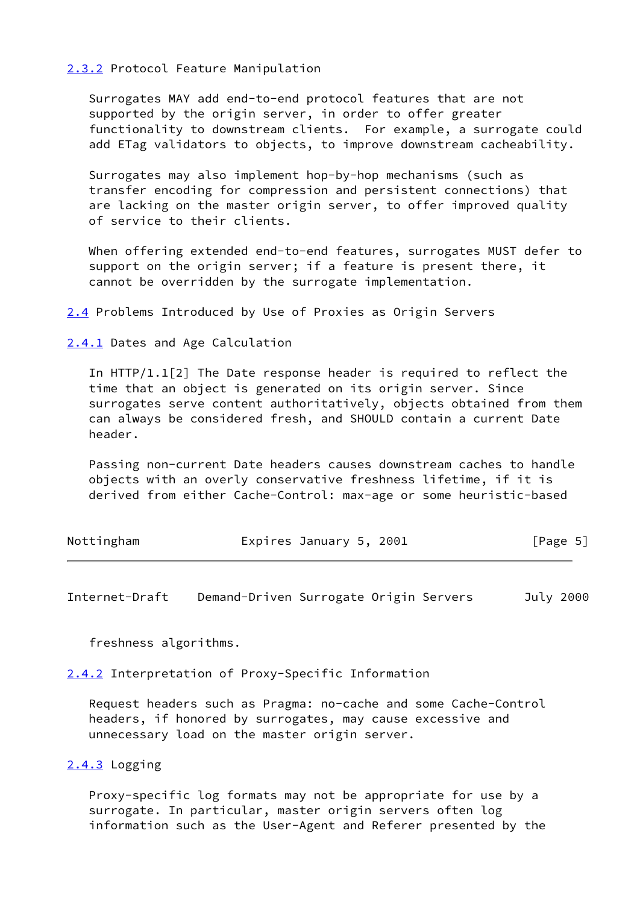## <span id="page-5-0"></span>[2.3.2](#page-5-0) Protocol Feature Manipulation

 Surrogates MAY add end-to-end protocol features that are not supported by the origin server, in order to offer greater functionality to downstream clients. For example, a surrogate could add ETag validators to objects, to improve downstream cacheability.

 Surrogates may also implement hop-by-hop mechanisms (such as transfer encoding for compression and persistent connections) that are lacking on the master origin server, to offer improved quality of service to their clients.

When offering extended end-to-end features, surrogates MUST defer to support on the origin server; if a feature is present there, it cannot be overridden by the surrogate implementation.

<span id="page-5-1"></span>[2.4](#page-5-1) Problems Introduced by Use of Proxies as Origin Servers

<span id="page-5-2"></span>[2.4.1](#page-5-2) Dates and Age Calculation

 In HTTP/1.1[2] The Date response header is required to reflect the time that an object is generated on its origin server. Since surrogates serve content authoritatively, objects obtained from them can always be considered fresh, and SHOULD contain a current Date header.

 Passing non-current Date headers causes downstream caches to handle objects with an overly conservative freshness lifetime, if it is derived from either Cache-Control: max-age or some heuristic-based

| Nottingham | Expires January 5, 2001 |  | [Page 5] |
|------------|-------------------------|--|----------|
|------------|-------------------------|--|----------|

Internet-Draft Demand-Driven Surrogate Origin Servers July 2000

freshness algorithms.

<span id="page-5-3"></span>[2.4.2](#page-5-3) Interpretation of Proxy-Specific Information

 Request headers such as Pragma: no-cache and some Cache-Control headers, if honored by surrogates, may cause excessive and unnecessary load on the master origin server.

# <span id="page-5-4"></span>[2.4.3](#page-5-4) Logging

 Proxy-specific log formats may not be appropriate for use by a surrogate. In particular, master origin servers often log information such as the User-Agent and Referer presented by the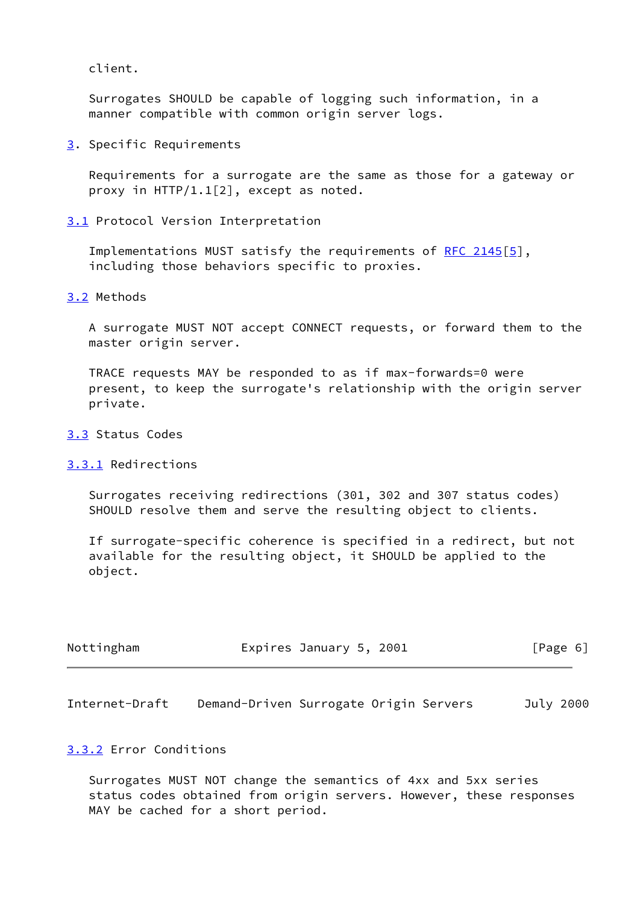client.

 Surrogates SHOULD be capable of logging such information, in a manner compatible with common origin server logs.

<span id="page-6-0"></span>[3](#page-6-0). Specific Requirements

 Requirements for a surrogate are the same as those for a gateway or proxy in HTTP/1.1[2], except as noted.

<span id="page-6-1"></span>[3.1](#page-6-1) Protocol Version Interpretation

Implementations MUST satisfy the requirements of [RFC 2145](https://datatracker.ietf.org/doc/pdf/rfc2145)[\[5\]](#page-12-2), including those behaviors specific to proxies.

<span id="page-6-2"></span>[3.2](#page-6-2) Methods

 A surrogate MUST NOT accept CONNECT requests, or forward them to the master origin server.

 TRACE requests MAY be responded to as if max-forwards=0 were present, to keep the surrogate's relationship with the origin server private.

## <span id="page-6-3"></span>[3.3](#page-6-3) Status Codes

<span id="page-6-4"></span>[3.3.1](#page-6-4) Redirections

 Surrogates receiving redirections (301, 302 and 307 status codes) SHOULD resolve them and serve the resulting object to clients.

 If surrogate-specific coherence is specified in a redirect, but not available for the resulting object, it SHOULD be applied to the object.

| Nottingham | Expires January 5, 2001 | [Page 6] |
|------------|-------------------------|----------|
|------------|-------------------------|----------|

Internet-Draft Demand-Driven Surrogate Origin Servers July 2000

## <span id="page-6-5"></span>[3.3.2](#page-6-5) Error Conditions

 Surrogates MUST NOT change the semantics of 4xx and 5xx series status codes obtained from origin servers. However, these responses MAY be cached for a short period.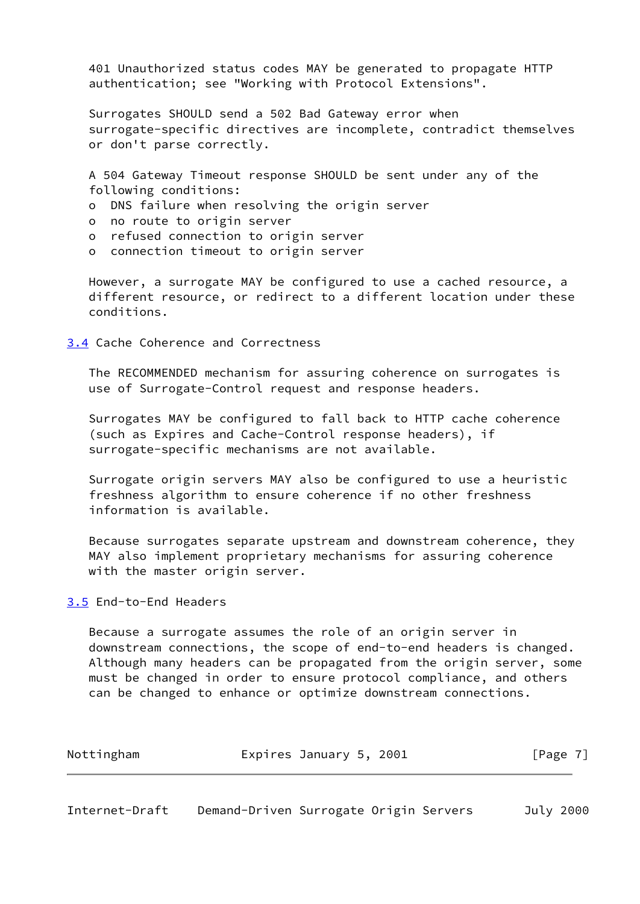401 Unauthorized status codes MAY be generated to propagate HTTP authentication; see "Working with Protocol Extensions".

 Surrogates SHOULD send a 502 Bad Gateway error when surrogate-specific directives are incomplete, contradict themselves or don't parse correctly.

 A 504 Gateway Timeout response SHOULD be sent under any of the following conditions:

- o DNS failure when resolving the origin server
- o no route to origin server
- o refused connection to origin server
- o connection timeout to origin server

 However, a surrogate MAY be configured to use a cached resource, a different resource, or redirect to a different location under these conditions.

<span id="page-7-0"></span>[3.4](#page-7-0) Cache Coherence and Correctness

 The RECOMMENDED mechanism for assuring coherence on surrogates is use of Surrogate-Control request and response headers.

 Surrogates MAY be configured to fall back to HTTP cache coherence (such as Expires and Cache-Control response headers), if surrogate-specific mechanisms are not available.

 Surrogate origin servers MAY also be configured to use a heuristic freshness algorithm to ensure coherence if no other freshness information is available.

 Because surrogates separate upstream and downstream coherence, they MAY also implement proprietary mechanisms for assuring coherence with the master origin server.

## <span id="page-7-1"></span>[3.5](#page-7-1) End-to-End Headers

 Because a surrogate assumes the role of an origin server in downstream connections, the scope of end-to-end headers is changed. Although many headers can be propagated from the origin server, some must be changed in order to ensure protocol compliance, and others can be changed to enhance or optimize downstream connections.

| Nottingham | Expires January 5, 2001 |  | [Page 7] |  |
|------------|-------------------------|--|----------|--|
|            |                         |  |          |  |

|  | Internet-Draft |  |  | Demand-Driven Surrogate Origin Servers | July 2000 |
|--|----------------|--|--|----------------------------------------|-----------|
|--|----------------|--|--|----------------------------------------|-----------|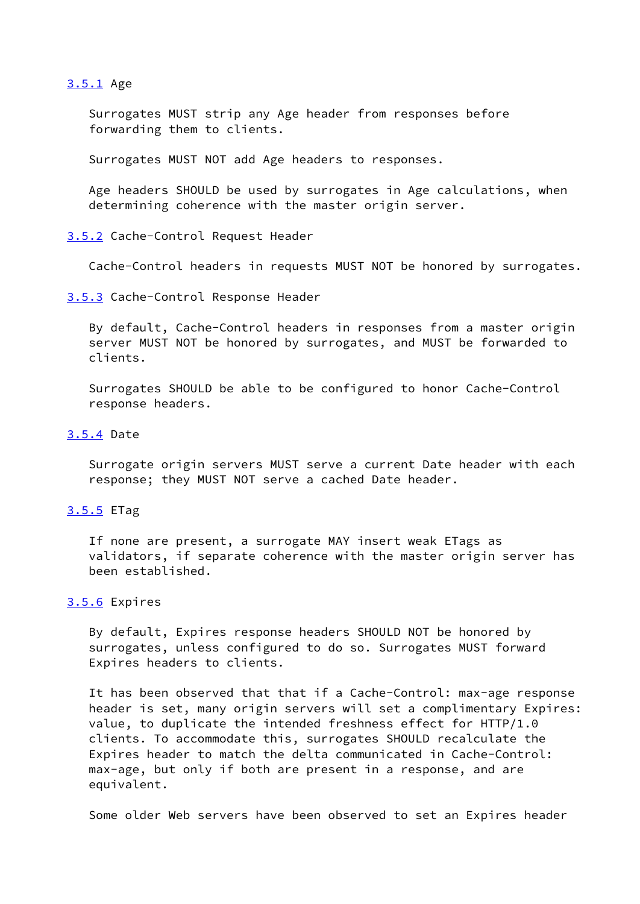#### <span id="page-8-0"></span>[3.5.1](#page-8-0) Age

 Surrogates MUST strip any Age header from responses before forwarding them to clients.

Surrogates MUST NOT add Age headers to responses.

 Age headers SHOULD be used by surrogates in Age calculations, when determining coherence with the master origin server.

<span id="page-8-1"></span>[3.5.2](#page-8-1) Cache-Control Request Header

Cache-Control headers in requests MUST NOT be honored by surrogates.

<span id="page-8-2"></span>[3.5.3](#page-8-2) Cache-Control Response Header

 By default, Cache-Control headers in responses from a master origin server MUST NOT be honored by surrogates, and MUST be forwarded to clients.

 Surrogates SHOULD be able to be configured to honor Cache-Control response headers.

## <span id="page-8-3"></span>[3.5.4](#page-8-3) Date

 Surrogate origin servers MUST serve a current Date header with each response; they MUST NOT serve a cached Date header.

## <span id="page-8-4"></span>[3.5.5](#page-8-4) ETag

 If none are present, a surrogate MAY insert weak ETags as validators, if separate coherence with the master origin server has been established.

# <span id="page-8-5"></span>[3.5.6](#page-8-5) Expires

 By default, Expires response headers SHOULD NOT be honored by surrogates, unless configured to do so. Surrogates MUST forward Expires headers to clients.

 It has been observed that that if a Cache-Control: max-age response header is set, many origin servers will set a complimentary Expires: value, to duplicate the intended freshness effect for HTTP/1.0 clients. To accommodate this, surrogates SHOULD recalculate the Expires header to match the delta communicated in Cache-Control: max-age, but only if both are present in a response, and are equivalent.

Some older Web servers have been observed to set an Expires header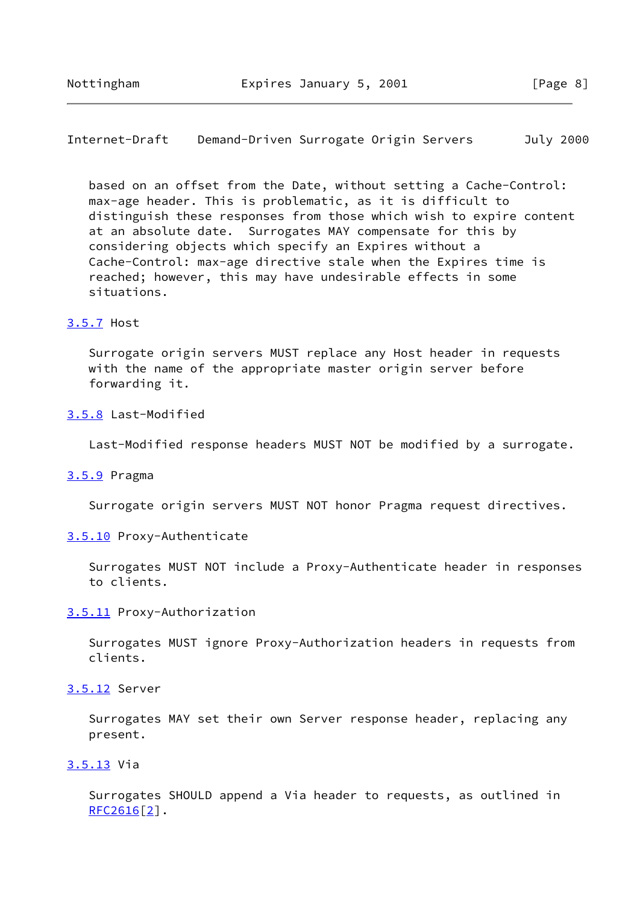Internet-Draft Demand-Driven Surrogate Origin Servers July 2000

 based on an offset from the Date, without setting a Cache-Control: max-age header. This is problematic, as it is difficult to distinguish these responses from those which wish to expire content at an absolute date. Surrogates MAY compensate for this by considering objects which specify an Expires without a Cache-Control: max-age directive stale when the Expires time is reached; however, this may have undesirable effects in some situations.

#### <span id="page-9-0"></span>[3.5.7](#page-9-0) Host

 Surrogate origin servers MUST replace any Host header in requests with the name of the appropriate master origin server before forwarding it.

## <span id="page-9-1"></span>[3.5.8](#page-9-1) Last-Modified

Last-Modified response headers MUST NOT be modified by a surrogate.

#### <span id="page-9-2"></span>[3.5.9](#page-9-2) Pragma

Surrogate origin servers MUST NOT honor Pragma request directives.

#### <span id="page-9-3"></span>[3.5.10](#page-9-3) Proxy-Authenticate

 Surrogates MUST NOT include a Proxy-Authenticate header in responses to clients.

<span id="page-9-4"></span>[3.5.11](#page-9-4) Proxy-Authorization

 Surrogates MUST ignore Proxy-Authorization headers in requests from clients.

# <span id="page-9-5"></span>[3.5.12](#page-9-5) Server

 Surrogates MAY set their own Server response header, replacing any present.

# <span id="page-9-6"></span>[3.5.13](#page-9-6) Via

 Surrogates SHOULD append a Via header to requests, as outlined in  $RFC2616[2]$  $RFC2616[2]$  $RFC2616[2]$ .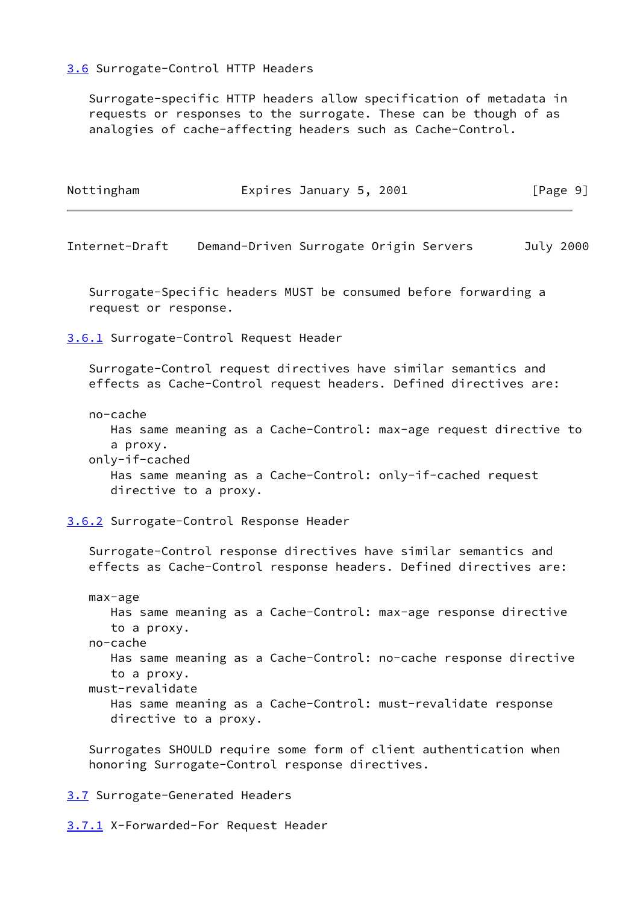# <span id="page-10-0"></span>[3.6](#page-10-0) Surrogate-Control HTTP Headers

 Surrogate-specific HTTP headers allow specification of metadata in requests or responses to the surrogate. These can be though of as analogies of cache-affecting headers such as Cache-Control.

<span id="page-10-1"></span>

| Nottingham                             | Expires January 5, 2001                                                                                                                                   | [Page 9]  |
|----------------------------------------|-----------------------------------------------------------------------------------------------------------------------------------------------------------|-----------|
| Internet-Draft                         | Demand-Driven Surrogate Origin Servers                                                                                                                    | July 2000 |
| request or response.                   | Surrogate-Specific headers MUST be consumed before forwarding a                                                                                           |           |
|                                        | 3.6.1 Surrogate-Control Request Header                                                                                                                    |           |
|                                        | Surrogate-Control request directives have similar semantics and<br>effects as Cache-Control request headers. Defined directives are:                      |           |
| no-cache<br>a proxy.<br>only-if-cached | Has same meaning as a Cache-Control: max-age request directive to<br>Has same meaning as a Cache-Control: only-if-cached request<br>directive to a proxy. |           |
|                                        | 3.6.2 Surrogate-Control Response Header                                                                                                                   |           |
|                                        | Surrogate-Control response directives have similar semantics and<br>effects as Cache-Control response headers. Defined directives are:                    |           |
| max-age<br>to a proxy.<br>no-cache     | Has same meaning as a Cache-Control: max-age response directive<br>Has same meaning as a Cache-Control: no-cache response directive                       |           |
| to a proxy.<br>must-revalidate         | Has same meaning as a Cache-Control: must-revalidate response<br>directive to a proxy.                                                                    |           |
|                                        | Surrogates SHOULD require some form of client authentication when<br>honoring Surrogate-Control response directives.                                      |           |

<span id="page-10-3"></span><span id="page-10-2"></span>[3.7](#page-10-3) Surrogate-Generated Headers

<span id="page-10-4"></span>[3.7.1](#page-10-4) X-Forwarded-For Request Header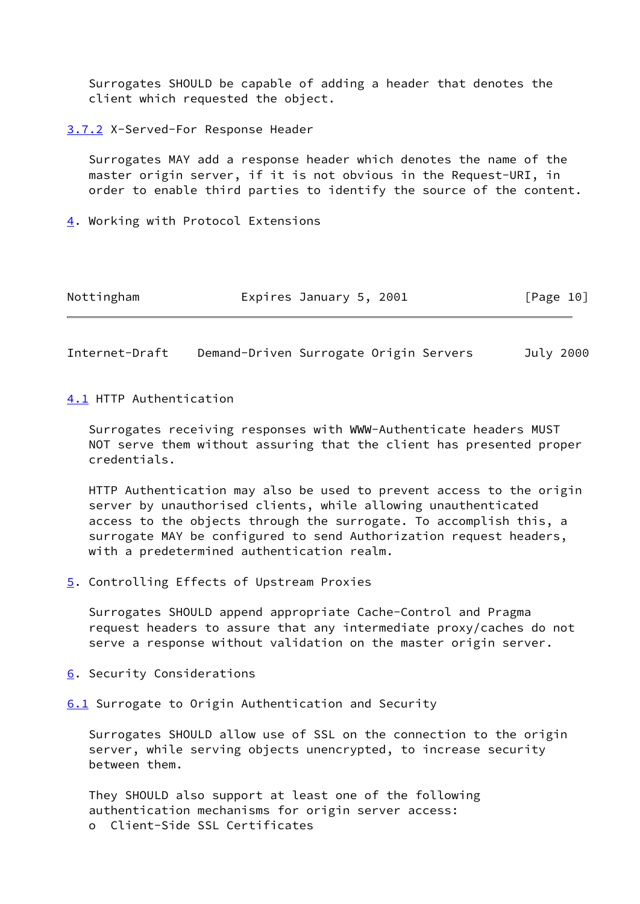Surrogates SHOULD be capable of adding a header that denotes the client which requested the object.

<span id="page-11-0"></span>[3.7.2](#page-11-0) X-Served-For Response Header

 Surrogates MAY add a response header which denotes the name of the master origin server, if it is not obvious in the Request-URI, in order to enable third parties to identify the source of the content.

<span id="page-11-1"></span>[4](#page-11-1). Working with Protocol Extensions

| Nottingham | Expires January 5, 2001 | [Page 10] |
|------------|-------------------------|-----------|
|------------|-------------------------|-----------|

Internet-Draft Demand-Driven Surrogate Origin Servers July 2000

<span id="page-11-2"></span>[4.1](#page-11-2) HTTP Authentication

 Surrogates receiving responses with WWW-Authenticate headers MUST NOT serve them without assuring that the client has presented proper credentials.

 HTTP Authentication may also be used to prevent access to the origin server by unauthorised clients, while allowing unauthenticated access to the objects through the surrogate. To accomplish this, a surrogate MAY be configured to send Authorization request headers, with a predetermined authentication realm.

<span id="page-11-3"></span>[5](#page-11-3). Controlling Effects of Upstream Proxies

 Surrogates SHOULD append appropriate Cache-Control and Pragma request headers to assure that any intermediate proxy/caches do not serve a response without validation on the master origin server.

<span id="page-11-4"></span>[6](#page-11-4). Security Considerations

<span id="page-11-5"></span>[6.1](#page-11-5) Surrogate to Origin Authentication and Security

 Surrogates SHOULD allow use of SSL on the connection to the origin server, while serving objects unencrypted, to increase security between them.

 They SHOULD also support at least one of the following authentication mechanisms for origin server access: o Client-Side SSL Certificates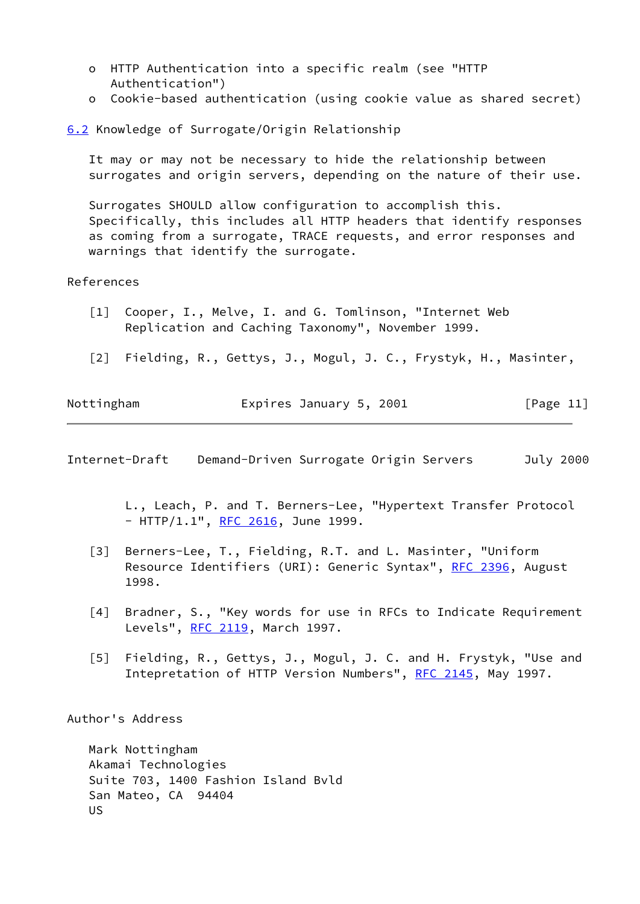- o HTTP Authentication into a specific realm (see "HTTP Authentication")
- o Cookie-based authentication (using cookie value as shared secret)

<span id="page-12-4"></span>[6.2](#page-12-4) Knowledge of Surrogate/Origin Relationship

It may or may not be necessary to hide the relationship between surrogates and origin servers, depending on the nature of their use.

 Surrogates SHOULD allow configuration to accomplish this. Specifically, this includes all HTTP headers that identify responses as coming from a surrogate, TRACE requests, and error responses and warnings that identify the surrogate.

## References

- <span id="page-12-0"></span> [1] Cooper, I., Melve, I. and G. Tomlinson, "Internet Web Replication and Caching Taxonomy", November 1999.
- <span id="page-12-3"></span>[2] Fielding, R., Gettys, J., Mogul, J. C., Frystyk, H., Masinter,

| Nottingham | Expires January 5, 2001 | [Page 11] |
|------------|-------------------------|-----------|
|            |                         |           |

Internet-Draft Demand-Driven Surrogate Origin Servers July 2000

 L., Leach, P. and T. Berners-Lee, "Hypertext Transfer Protocol - HTTP/1.1", [RFC 2616](https://datatracker.ietf.org/doc/pdf/rfc2616), June 1999.

- [3] Berners-Lee, T., Fielding, R.T. and L. Masinter, "Uniform Resource Identifiers (URI): Generic Syntax", [RFC 2396](https://datatracker.ietf.org/doc/pdf/rfc2396), August 1998.
- <span id="page-12-1"></span>[4] Bradner, S., "Key words for use in RFCs to Indicate Requirement Levels", [RFC 2119](https://datatracker.ietf.org/doc/pdf/rfc2119), March 1997.
- <span id="page-12-2"></span> [5] Fielding, R., Gettys, J., Mogul, J. C. and H. Frystyk, "Use and Intepretation of HTTP Version Numbers", [RFC 2145](https://datatracker.ietf.org/doc/pdf/rfc2145), May 1997.

Author's Address

 Mark Nottingham Akamai Technologies Suite 703, 1400 Fashion Island Bvld San Mateo, CA 94404 US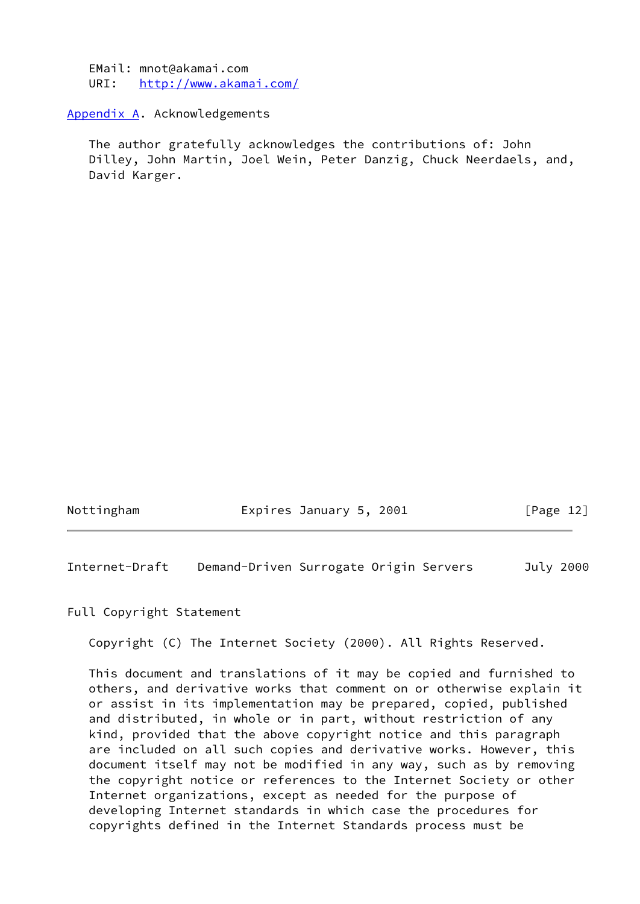EMail: mnot@akamai.com URI: <http://www.akamai.com/>

#### <span id="page-13-0"></span>[Appendix A.](#page-13-0) Acknowledgements

 The author gratefully acknowledges the contributions of: John Dilley, John Martin, Joel Wein, Peter Danzig, Chuck Neerdaels, and, David Karger.

Nottingham Expires January 5, 2001 [Page 12]

Internet-Draft Demand-Driven Surrogate Origin Servers July 2000

Full Copyright Statement

Copyright (C) The Internet Society (2000). All Rights Reserved.

 This document and translations of it may be copied and furnished to others, and derivative works that comment on or otherwise explain it or assist in its implementation may be prepared, copied, published and distributed, in whole or in part, without restriction of any kind, provided that the above copyright notice and this paragraph are included on all such copies and derivative works. However, this document itself may not be modified in any way, such as by removing the copyright notice or references to the Internet Society or other Internet organizations, except as needed for the purpose of developing Internet standards in which case the procedures for copyrights defined in the Internet Standards process must be